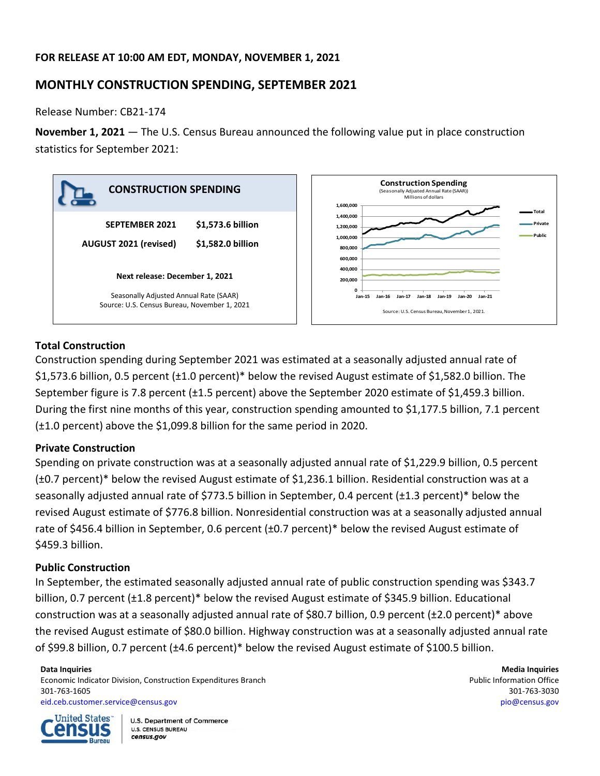## **FOR RELEASE AT 10:00 AM EDT, MONDAY, NOVEMBER 1, 2021**

# **MONTHLY CONSTRUCTION SPENDING, SEPTEMBER 2021**

Release Number: CB21-174

**November 1, 2021** — The U.S. Census Bureau announced the following value put in place construction statistics for September 2021:



## **Total Construction**

Construction spending during September 2021 was estimated at a seasonally adjusted annual rate of \$1,573.6 billion, 0.5 percent (±1.0 percent)\* below the revised August estimate of \$1,582.0 billion. The September figure is 7.8 percent (±1.5 percent) above the September 2020 estimate of \$1,459.3 billion. During the first nine months of this year, construction spending amounted to \$1,177.5 billion, 7.1 percent (±1.0 percent) above the \$1,099.8 billion for the same period in 2020.

### **Private Construction**

Spending on private construction was at a seasonally adjusted annual rate of \$1,229.9 billion, 0.5 percent (±0.7 percent)\* below the revised August estimate of \$1,236.1 billion. Residential construction was at a seasonally adjusted annual rate of \$773.5 billion in September, 0.4 percent (±1.3 percent)\* below the revised August estimate of \$776.8 billion. Nonresidential construction was at a seasonally adjusted annual rate of \$456.4 billion in September, 0.6 percent (±0.7 percent)\* below the revised August estimate of \$459.3 billion.

### **Public Construction**

In September, the estimated seasonally adjusted annual rate of public construction spending was \$343.7 billion, 0.7 percent (±1.8 percent)\* below the revised August estimate of \$345.9 billion. Educational construction was at a seasonally adjusted annual rate of \$80.7 billion, 0.9 percent (±2.0 percent)\* above the revised August estimate of \$80.0 billion. Highway construction was at a seasonally adjusted annual rate of \$99.8 billion, 0.7 percent (±4.6 percent)\* below the revised August estimate of \$100.5 billion.

Economic Indicator Division, Construction Expenditures Branch **Public Information Office** Public Information Office 301-763-1605 301-763-3030 [eid.ceb.customer.service@census.gov](mailto:eid.ceb.customer.service@census.gov) [pio@census.gov](mailto:pio@census.gov)



**U.S. Department of Commerce U.S. CENSUS BUREAU** census.gov

**Data Inquiries Media Inquiries**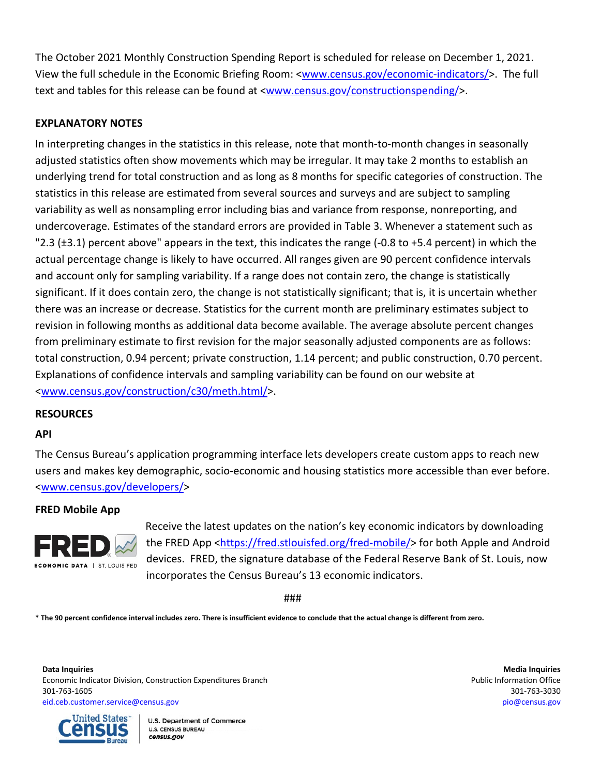The October 2021 Monthly Construction Spending Report is scheduled for release on December 1, 2021. View the full schedule in the Economic Briefing Room: [<www.census.gov/economic-indicators/>](http://www.census.gov/economic-indicators/). The full text and tables for this release can be found at [<www.census.gov/constructionspending/>](http://www.census.gov/constructionspending/).

## **EXPLANATORY NOTES**

In interpreting changes in the statistics in this release, note that month-to-month changes in seasonally adjusted statistics often show movements which may be irregular. It may take 2 months to establish an underlying trend for total construction and as long as 8 months for specific categories of construction. The statistics in this release are estimated from several sources and surveys and are subject to sampling variability as well as nonsampling error including bias and variance from response, nonreporting, and undercoverage. Estimates of the standard errors are provided in Table 3. Whenever a statement such as "2.3 (±3.1) percent above" appears in the text, this indicates the range (-0.8 to +5.4 percent) in which the actual percentage change is likely to have occurred. All ranges given are 90 percent confidence intervals and account only for sampling variability. If a range does not contain zero, the change is statistically significant. If it does contain zero, the change is not statistically significant; that is, it is uncertain whether there was an increase or decrease. Statistics for the current month are preliminary estimates subject to revision in following months as additional data become available. The average absolute percent changes from preliminary estimate to first revision for the major seasonally adjusted components are as follows: total construction, 0.94 percent; private construction, 1.14 percent; and public construction, 0.70 percent. Explanations of confidence intervals and sampling variability can be found on our website at [<www.census.gov/construction/c30/meth.html/](http://www.census.gov/construction/c30/meth.html)>.

### **RESOURCES**

#### **API**

The Census Bureau's application programming interface lets developers create custom apps to reach new users and makes key demographic, socio-economic and housing statistics more accessible than ever before. [<www.census.gov/developers/>](https://www.census.gov/developers/)

#### **FRED Mobile App**



Receive the latest updates on the nation's key economic indicators by downloading the FRED App [<https://fred.stlouisfed.org/fred-mobile/>](https://fred.stlouisfed.org/fred-mobile/index.php?utm_source=census&utm_medium=pdf&utm_campaign=mobile_app) for both Apple and Android devices. FRED, the signature database of the Federal Reserve Bank of St. Louis, now incorporates the Census Bureau's 13 economic indicators.

###

**\* The 90 percent confidence interval includes zero. There is insufficient evidence to conclude that the actual change is different from zero.**

**Data Inquiries Media Inquiries** Economic Indicator Division, Construction Expenditures Branch **Public Information Office** Public Information Office 301-763-1605 301-763-3030 [eid.ceb.customer.service@census.gov](mailto:eid.ceb.customer.service@census.gov) [pio@census.gov](mailto:pio@census.gov)



**U.S. Department of Commerce U.S. CENSUS BUREAU** census.gov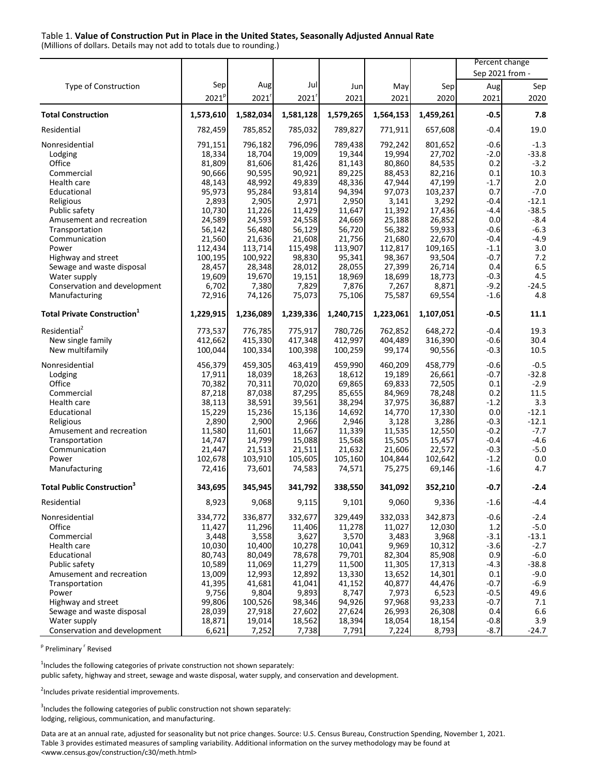#### Table 1. **Value of Construction Put in Place in the United States, Seasonally Adjusted Annual Rate**

(Millions of dollars. Details may not add to totals due to rounding.)

|                                                |                   |                 |                  |                 |                 |                  | Percent change  |                   |
|------------------------------------------------|-------------------|-----------------|------------------|-----------------|-----------------|------------------|-----------------|-------------------|
|                                                |                   |                 |                  |                 |                 |                  | Sep 2021 from - |                   |
| Type of Construction                           | Sep               | Aug             | Jul              | Jun             | May             | Sep              | Aug             | Sep               |
|                                                | 2021 <sup>p</sup> | 2021'           | 2021'            | 2021            | 2021            | 2020             | 2021            | 2020              |
| <b>Total Construction</b>                      |                   |                 |                  | 1,579,265       |                 |                  | $-0.5$          | 7.8               |
|                                                | 1,573,610         | 1,582,034       | 1,581,128        |                 | 1,564,153       | 1,459,261        |                 |                   |
| Residential                                    | 782,459           | 785,852         | 785,032          | 789,827         | 771,911         | 657,608          | $-0.4$          | 19.0              |
| Nonresidential                                 | 791,151           | 796,182         | 796,096          | 789,438         | 792,242         | 801,652          | $-0.6$          | $-1.3$            |
| Lodging                                        | 18,334            | 18,704          | 19,009           | 19,344          | 19,994          | 27,702           | $-2.0$          | $-33.8$           |
| Office                                         | 81,809            | 81,606          | 81,426           | 81,143          | 80,860          | 84,535           | 0.2             | $-3.2$            |
| Commercial                                     | 90,666            | 90,595          | 90,921           | 89,225          | 88,453          | 82,216           | 0.1             | 10.3              |
| Health care                                    | 48,143            | 48,992          | 49,839           | 48,336          | 47,944          | 47,199           | $-1.7$          | $2.0\,$           |
| Educational                                    | 95,973            | 95,284          | 93,814           | 94,394<br>2,950 | 97,073          | 103,237<br>3,292 | 0.7<br>$-0.4$   | $-7.0$<br>$-12.1$ |
| Religious<br>Public safety                     | 2,893<br>10,730   | 2,905<br>11,226 | 2,971            | 11,647          | 3,141<br>11,392 | 17,436           | -4.4            | $-38.5$           |
| Amusement and recreation                       | 24,589            | 24,593          | 11,429<br>24,558 | 24,669          | 25,188          | 26,852           | 0.0             | $-8.4$            |
| Transportation                                 | 56,142            | 56,480          | 56,129           | 56,720          | 56,382          | 59,933           | -0.6            | $-6.3$            |
| Communication                                  | 21,560            | 21,636          | 21,608           | 21,756          | 21,680          | 22,670           | $-0.4$          | $-4.9$            |
| Power                                          | 112,434           | 113,714         | 115,498          | 113,907         | 112,817         | 109,165          | $-1.1$          | 3.0               |
| Highway and street                             | 100,195           | 100,922         | 98,830           | 95,341          | 98,367          | 93,504           | $-0.7$          | 7.2               |
| Sewage and waste disposal                      | 28,457            | 28,348          | 28,012           | 28,055          | 27,399          | 26,714           | 0.4             | 6.5               |
| Water supply                                   | 19,609            | 19,670          | 19,151           | 18,969          | 18,699          | 18,773           | $-0.3$          | 4.5               |
| Conservation and development                   | 6,702             | 7,380           | 7,829            | 7,876           | 7,267           | 8,871            | $-9.2$          | $-24.5$           |
| Manufacturing                                  | 72,916            | 74,126          | 75,073           | 75,106          | 75,587          | 69,554           | $-1.6$          | 4.8               |
|                                                |                   |                 |                  |                 |                 |                  |                 |                   |
| <b>Total Private Construction</b> <sup>1</sup> | 1,229,915         | 1,236,089       | 1,239,336        | 1,240,715       | 1,223,061       | 1,107,051        | $-0.5$          | 11.1              |
| Residential <sup>2</sup>                       | 773,537           | 776,785         | 775,917          | 780,726         | 762,852         | 648,272          | -0.4            | 19.3              |
| New single family                              | 412,662           | 415.330         | 417,348          | 412,997         | 404,489         | 316,390          | $-0.6$          | 30.4              |
| New multifamily                                | 100,044           | 100,334         | 100,398          | 100,259         | 99,174          | 90,556           | $-0.3$          | 10.5              |
| Nonresidential                                 | 456,379           | 459,305         | 463,419          | 459,990         | 460,209         | 458,779          | $-0.6$          | $-0.5$            |
| Lodging                                        | 17,911            | 18,039          | 18,263           | 18,612          | 19,189          | 26,661           | -0.7            | $-32.8$           |
| Office                                         | 70,382            | 70,311          | 70,020           | 69,865          | 69,833          | 72,505           | 0.1             | $-2.9$            |
| Commercial                                     | 87,218            | 87,038          | 87,295           | 85,655          | 84,969          | 78,248           | 0.2             | 11.5              |
| Health care                                    | 38,113            | 38,591          | 39,561           | 38,294          | 37,975          | 36,887           | $-1.2$          | 3.3               |
| Educational                                    | 15,229            | 15,236          | 15,136           | 14,692          | 14,770          | 17,330           | 0.0             | $-12.1$           |
| Religious                                      | 2,890             | 2,900           | 2,966            | 2,946           | 3,128           | 3,286            | $-0.3$          | $-12.1$           |
| Amusement and recreation                       | 11,580            | 11,601          | 11,667           | 11,339          | 11,535          | 12,550           | $-0.2$          | $-7.7$            |
| Transportation                                 | 14,747            | 14,799          | 15,088           | 15,568          | 15,505          | 15,457           | $-0.4$          | $-4.6$            |
| Communication                                  | 21,447            | 21,513          | 21,511           | 21,632          | 21,606          | 22,572           | $-0.3$          | $-5.0$            |
| Power                                          | 102,678           | 103,910         | 105,605          | 105,160         | 104,844         | 102,642          | $-1.2$          | 0.0               |
| Manufacturing                                  | 72,416            | 73,601          | 74,583           | 74,571          | 75,275          | 69,146           | $-1.6$          | 4.7               |
| <b>Total Public Construction</b> <sup>3</sup>  | 343,695           | 345,945         | 341,792          | 338,550         | 341,092         | 352,210          | $-0.7$          | $-2.4$            |
| Residential                                    | 8,923             | 9,068           | 9,115            | 9,101           | 9,060           | 9,336            | $-1.6$          | $-4.4$            |
| Nonresidential                                 | 334,772           | 336,877         | 332,677          | 329,449         | 332,033         | 342,873          | $-0.6$          | $-2.4$            |
| Office                                         | 11,427            | 11,296          | 11,406           | 11,278          | 11,027          | 12,030           | 1.2             | $-5.0$            |
| Commercial                                     | 3,448             | 3,558           | 3,627            | 3,570           | 3,483           | 3,968            | $-3.1$          | $-13.1$           |
| Health care                                    | 10,030            | 10,400          | 10,278           | 10,041          | 9,969           | 10,312           | $-3.6$          | $-2.7$            |
| Educational                                    | 80,743            | 80,049          | 78,678           | 79,701          | 82,304          | 85,908           | 0.9             | $-6.0$            |
| Public safety                                  | 10,589            | 11,069          | 11,279           | 11,500          | 11,305          | 17,313           | $-4.3$          | $-38.8$           |
| Amusement and recreation                       | 13,009            | 12,993          | 12,892           | 13,330          | 13,652          | 14,301           | 0.1             | $-9.0$            |
| Transportation                                 | 41,395            | 41,681          | 41,041           | 41,152          | 40,877          | 44,476           | $-0.7$          | $-6.9$            |
| Power                                          | 9,756             | 9,804           | 9,893            | 8,747           | 7,973           | 6,523            | $-0.5$          | 49.6              |
| Highway and street                             | 99,806            | 100,526         | 98,346           | 94,926          | 97,968          | 93,233           | $-0.7$          | 7.1               |
| Sewage and waste disposal                      | 28,039            | 27,918          | 27,602           | 27,624          | 26,993          | 26,308           | 0.4             | 6.6               |
| Water supply                                   | 18,871            | 19,014          | 18,562           | 18,394          | 18,054          | 18,154           | $-0.8$          | 3.9               |
| Conservation and development                   | 6,621             | 7,252           | 7,738            | 7,791           | 7,224           | 8,793            | $-8.7$          | $-24.7$           |

<sup>p</sup> Preliminary <sup>r</sup> Revised

 $1$ Includes the following categories of private construction not shown separately:

public safety, highway and street, sewage and waste disposal, water supply, and conservation and development.

<sup>2</sup>Includes private residential improvements.

 $3$ Includes the following categories of public construction not shown separately: lodging, religious, communication, and manufacturing.

Data are at an annual rate, adjusted for seasonality but not price changes. Source: U.S. Census Bureau, Construction Spending, November 1, 2021. Table 3 provides estimated measures of sampling variability. Additional information on the survey methodology may be found at [<www.census.gov/construction/c30/meth.html>](http://www.census.gov/construction/c30/meth.html)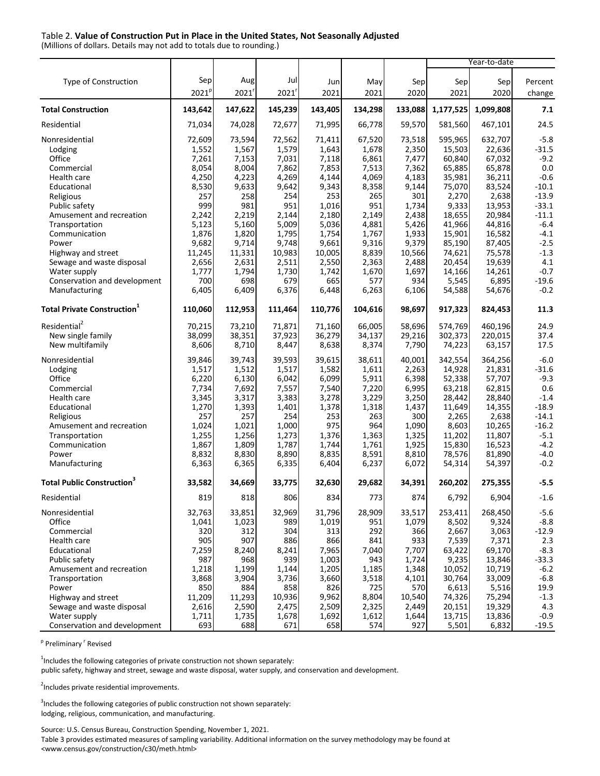#### Table 2. **Value of Construction Put in Place in the United States, Not Seasonally Adjusted**

(Millions of dollars. Details may not add to totals due to rounding.)

|                                                |                   |                |                |                |                |                | Year-to-date     |                  |                    |
|------------------------------------------------|-------------------|----------------|----------------|----------------|----------------|----------------|------------------|------------------|--------------------|
|                                                | Sep               |                |                |                |                |                |                  |                  |                    |
| Type of Construction                           |                   | Aug            | Jul            | Jun            | May            | Sep            | Sep              | Sep              | Percent            |
|                                                | 2021 <sup>p</sup> | 2021           | 2021'          | 2021           | 2021           | 2020           | 2021             | 2020             | change             |
| <b>Total Construction</b>                      | 143,642           | 147,622        | 145,239        | 143,405        | 134,298        | 133,088        | 1,177,525        | 1,099,808        | 7.1                |
| Residential                                    | 71,034            | 74,028         | 72,677         | 71,995         | 66,778         | 59,570         | 581,560          | 467,101          | 24.5               |
| Nonresidential                                 | 72,609            | 73,594         | 72,562         | 71,411         | 67,520         | 73,518         | 595,965          | 632,707          | $-5.8$             |
| Lodging                                        | 1,552             | 1,567          | 1,579          | 1,643          | 1,678          | 2,350          | 15,503           | 22,636           | $-31.5$            |
| Office                                         | 7,261             | 7,153          | 7,031          | 7,118          | 6,861          | 7,477          | 60,840           | 67,032           | $-9.2$             |
| Commercial                                     | 8,054             | 8,004          | 7,862          | 7,853          | 7,513          | 7,362          | 65,885           | 65,878           | 0.0                |
| Health care                                    | 4,250             | 4,223          | 4,269          | 4,144          | 4,069          | 4,183          | 35,981           | 36,211           | $-0.6$             |
| Educational                                    | 8,530             | 9,633          | 9,642          | 9,343          | 8,358          | 9,144          | 75,070           | 83,524           | $-10.1$            |
| Religious<br>Public safety                     | 257<br>999        | 258<br>981     | 254<br>951     | 253<br>1,016   | 265<br>951     | 301<br>1,734   | 2,270<br>9,333   | 2,638<br>13,953  | $-13.9$<br>$-33.1$ |
| Amusement and recreation                       | 2,242             | 2,219          | 2,144          | 2,180          | 2,149          | 2,438          | 18,655           | 20,984           | $-11.1$            |
| Transportation                                 | 5,123             | 5,160          | 5,009          | 5,036          | 4,881          | 5,426          | 41,966           | 44,816           | $-6.4$             |
| Communication                                  | 1,876             | 1,820          | 1,795          | 1,754          | 1,767          | 1,933          | 15,901           | 16,582           | $-4.1$             |
| Power                                          | 9,682             | 9,714          | 9,748          | 9,661          | 9,316          | 9,379          | 85,190           | 87,405           | $-2.5$             |
| Highway and street                             | 11,245            | 11,331         | 10,983         | 10,005         | 8,839          | 10,566         | 74,621           | 75,578           | $-1.3$             |
| Sewage and waste disposal                      | 2,656             | 2,631          | 2,511          | 2,550          | 2,363          | 2,488          | 20,454           | 19,639           | 4.1                |
| Water supply                                   | 1,777             | 1,794          | 1,730          | 1,742          | 1,670          | 1,697          | 14,166           | 14,261           | $-0.7$             |
| Conservation and development                   | 700               | 698            | 679            | 665            | 577            | 934            | 5,545            | 6,895            | $-19.6$            |
| Manufacturing                                  | 6,405             | 6,409          | 6,376          | 6,448          | 6,263          | 6,106          | 54,588           | 54,676           | $-0.2$             |
| <b>Total Private Construction</b> <sup>1</sup> | 110,060           | 112,953        | 111,464        | 110,776        | 104,616        | 98,697         | 917,323          | 824,453          | 11.3               |
| Residential <sup>2</sup>                       | 70,215            | 73,210         | 71,871         | 71,160         | 66,005         | 58,696         | 574,769          | 460,196          | 24.9               |
| New single family                              | 38,099            | 38,351         | 37,923         | 36,279         | 34,137         | 29,216         | 302,373          | 220,015          | 37.4               |
| New multifamily                                | 8,606             | 8,710          | 8,447          | 8,638          | 8,374          | 7,790          | 74,223           | 63,157           | 17.5               |
| Nonresidential                                 | 39,846            | 39,743         | 39,593         | 39,615         | 38,611         | 40,001         | 342,554          | 364,256          | $-6.0$             |
| Lodging                                        | 1,517             | 1,512          | 1,517          | 1,582          | 1,611          | 2,263          | 14,928           | 21,831           | $-31.6$            |
| Office                                         | 6,220             | 6,130          | 6,042          | 6,099          | 5,911          | 6,398          | 52,338           | 57,707           | $-9.3$             |
| Commercial                                     | 7,734             | 7,692          | 7,557          | 7,540          | 7,220          | 6,995          | 63,218           | 62,815           | 0.6                |
| Health care                                    | 3,345             | 3,317          | 3,383          | 3,278          | 3,229          | 3,250          | 28,442           | 28,840           | $-1.4$             |
| Educational                                    | 1,270<br>257      | 1,393<br>257   | 1,401<br>254   | 1,378<br>253   | 1,318<br>263   | 1,437<br>300   | 11,649           | 14,355<br>2,638  | $-18.9$<br>$-14.1$ |
| Religious<br>Amusement and recreation          | 1,024             | 1,021          | 1,000          | 975            | 964            | 1,090          | 2,265<br>8,603   | 10,265           | $-16.2$            |
| Transportation                                 | 1,255             | 1,256          | 1,273          | 1,376          | 1,363          | 1,325          | 11,202           | 11,807           | $-5.1$             |
| Communication                                  | 1,867             | 1,809          | 1,787          | 1,744          | 1,761          | 1,925          | 15,830           | 16,523           | $-4.2$             |
| Power                                          | 8,832             | 8,830          | 8,890          | 8,835          | 8,591          | 8,810          | 78,576           | 81,890           | $-4.0$             |
| Manufacturing                                  | 6,363             | 6,365          | 6,335          | 6,404          | 6,237          | 6,072          | 54,314           | 54,397           | $-0.2$             |
| <b>Total Public Construction</b> <sup>3</sup>  | 33,582            | 34,669         | 33,775         | 32,630         | 29,682         | 34,391         | 260,202          | 275,355          | $-5.5$             |
| Residential                                    | 819               | 818            | 806            | 8341           | 7731           | 874            | 6,792            | 6,904            | -1.6               |
| Nonresidential                                 | 32,763            | 33,851         | 32,969         | 31,796         | 28,909         | 33,517         | 253,411          | 268,450          | $-5.6$             |
| Office                                         | 1,041             | 1,023          | 989            | 1,019          | 951            | 1,079          | 8,502            | 9,324            | $-8.8$             |
| Commercial                                     | 320               | 312            | 304            | 313            | 292            | 366            | 2,667            | 3,063            | $-12.9$            |
| Health care                                    | 905               | 907            | 886            | 866            | 841            | 933            | 7,539            | 7,371            | 2.3                |
| Educational                                    | 7,259             | 8,240          | 8,241          | 7,965          | 7,040          | 7,707          | 63,422           | 69,170           | $-8.3$             |
| Public safety                                  | 987               | 968            | 939            | 1,003          | 943            | 1,724          | 9,235            | 13,846           | $-33.3$            |
| Amusement and recreation<br>Transportation     | 1,218<br>3,868    | 1,199<br>3,904 | 1,144<br>3,736 | 1,205<br>3,660 | 1,185<br>3,518 | 1,348<br>4,101 | 10,052<br>30,764 | 10,719<br>33,009 | $-6.2$<br>$-6.8$   |
| Power                                          | 850               | 884            | 858            | 826            | 725            | 570            | 6,613            | 5,516            | 19.9               |
| Highway and street                             | 11,209            | 11,293         | 10,936         | 9,962          | 8,804          | 10,540         | 74,326           | 75,294           | $-1.3$             |
| Sewage and waste disposal                      | 2,616             | 2,590          | 2,475          | 2,509          | 2,325          | 2,449          | 20,151           | 19,329           | 4.3                |
| Water supply                                   | 1,711             | 1,735          | 1,678          | 1,692          | 1,612          | 1,644          | 13,715           | 13,836           | $-0.9$             |
| Conservation and development                   | 693               | 688            | 671            | 658            | 574            | 927            | 5,501            | 6,832            | $-19.5$            |

<sup>p</sup> Preliminary <sup>r</sup> Revised

 $1$ Includes the following categories of private construction not shown separately:

public safety, highway and street, sewage and waste disposal, water supply, and conservation and development.

<sup>2</sup>Includes private residential improvements.

 $3$ Includes the following categories of public construction not shown separately: lodging, religious, communication, and manufacturing.

Source: U.S. Census Bureau, Construction Spending, November 1, 2021.

Table 3 provides estimated measures of sampling variability. Additional information on the survey methodology may be found at [<www.census.gov/construction/c30/meth.html>](http://www.census.gov/construction/c30/meth.html)